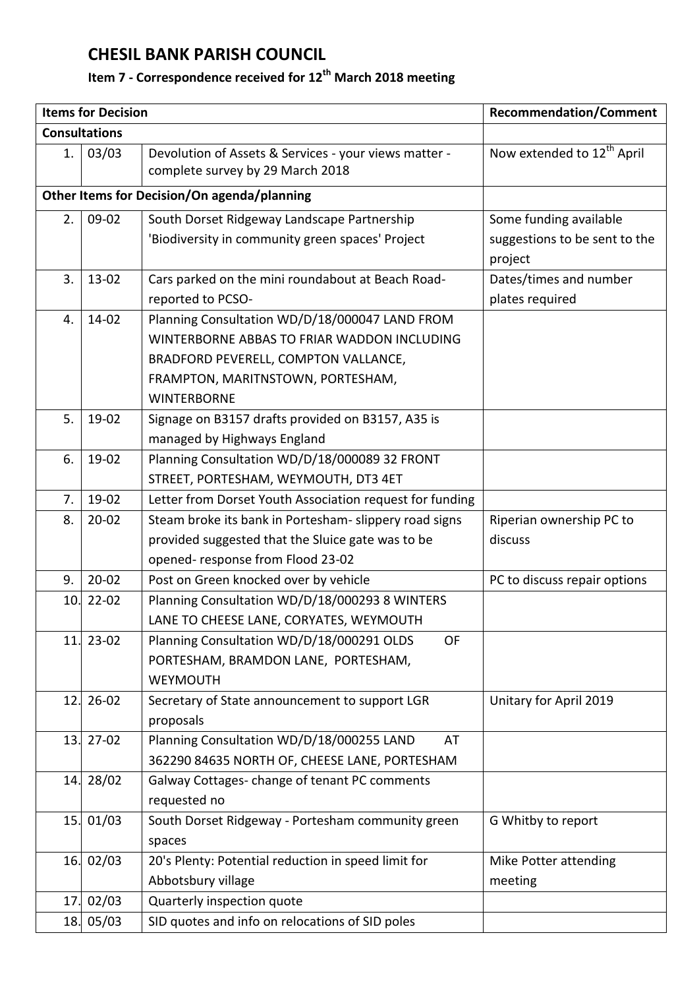## **CHESIL BANK PARISH COUNCIL**

## **Item 7 - Correspondence received for 12th March 2018 meeting**

|                                             | <b>Items for Decision</b> | <b>Recommendation/Comment</b>                                                             |                                        |  |  |
|---------------------------------------------|---------------------------|-------------------------------------------------------------------------------------------|----------------------------------------|--|--|
| <b>Consultations</b>                        |                           |                                                                                           |                                        |  |  |
| 1.                                          | 03/03                     | Devolution of Assets & Services - your views matter -<br>complete survey by 29 March 2018 | Now extended to 12 <sup>th</sup> April |  |  |
| Other Items for Decision/On agenda/planning |                           |                                                                                           |                                        |  |  |
| 2.                                          | 09-02                     | South Dorset Ridgeway Landscape Partnership                                               | Some funding available                 |  |  |
|                                             |                           | 'Biodiversity in community green spaces' Project                                          | suggestions to be sent to the          |  |  |
|                                             |                           |                                                                                           | project                                |  |  |
| 3.                                          | $13-02$                   | Cars parked on the mini roundabout at Beach Road-                                         | Dates/times and number                 |  |  |
|                                             |                           | reported to PCSO-                                                                         | plates required                        |  |  |
| 4.                                          | 14-02                     | Planning Consultation WD/D/18/000047 LAND FROM                                            |                                        |  |  |
|                                             |                           | WINTERBORNE ABBAS TO FRIAR WADDON INCLUDING                                               |                                        |  |  |
|                                             |                           | BRADFORD PEVERELL, COMPTON VALLANCE,                                                      |                                        |  |  |
|                                             |                           | FRAMPTON, MARITNSTOWN, PORTESHAM,                                                         |                                        |  |  |
|                                             |                           | <b>WINTERBORNE</b>                                                                        |                                        |  |  |
| 5.                                          | 19-02                     | Signage on B3157 drafts provided on B3157, A35 is                                         |                                        |  |  |
|                                             |                           | managed by Highways England                                                               |                                        |  |  |
| 6.                                          | 19-02                     | Planning Consultation WD/D/18/000089 32 FRONT                                             |                                        |  |  |
|                                             |                           | STREET, PORTESHAM, WEYMOUTH, DT3 4ET                                                      |                                        |  |  |
| 7.                                          | 19-02                     | Letter from Dorset Youth Association request for funding                                  |                                        |  |  |
| 8.                                          | $20 - 02$                 | Steam broke its bank in Portesham- slippery road signs                                    | Riperian ownership PC to               |  |  |
|                                             |                           | provided suggested that the Sluice gate was to be                                         | discuss                                |  |  |
|                                             |                           | opened-response from Flood 23-02                                                          |                                        |  |  |
| 9.                                          | $20 - 02$                 | Post on Green knocked over by vehicle                                                     | PC to discuss repair options           |  |  |
| 10.                                         | $22 - 02$                 | Planning Consultation WD/D/18/000293 8 WINTERS                                            |                                        |  |  |
|                                             |                           | LANE TO CHEESE LANE, CORYATES, WEYMOUTH                                                   |                                        |  |  |
| 11.                                         | $23 - 02$                 | Planning Consultation WD/D/18/000291 OLDS<br>OF                                           |                                        |  |  |
|                                             |                           | PORTESHAM, BRAMDON LANE, PORTESHAM,                                                       |                                        |  |  |
|                                             |                           | WEYMOUTH                                                                                  |                                        |  |  |
| 12.                                         | $26 - 02$                 | Secretary of State announcement to support LGR                                            | Unitary for April 2019                 |  |  |
|                                             |                           | proposals                                                                                 |                                        |  |  |
| 13.                                         | $27-02$                   | Planning Consultation WD/D/18/000255 LAND<br>AT                                           |                                        |  |  |
|                                             |                           | 362290 84635 NORTH OF, CHEESE LANE, PORTESHAM                                             |                                        |  |  |
| 14.                                         | 28/02                     | Galway Cottages- change of tenant PC comments                                             |                                        |  |  |
|                                             |                           | requested no                                                                              |                                        |  |  |
|                                             | 15. 01/03                 | South Dorset Ridgeway - Portesham community green                                         | G Whitby to report                     |  |  |
|                                             |                           | spaces                                                                                    |                                        |  |  |
|                                             | 16.02/03                  | 20's Plenty: Potential reduction in speed limit for                                       | Mike Potter attending                  |  |  |
|                                             |                           | Abbotsbury village                                                                        | meeting                                |  |  |
| 17.                                         | 02/03                     | Quarterly inspection quote                                                                |                                        |  |  |
| 18.                                         | 05/03                     | SID quotes and info on relocations of SID poles                                           |                                        |  |  |